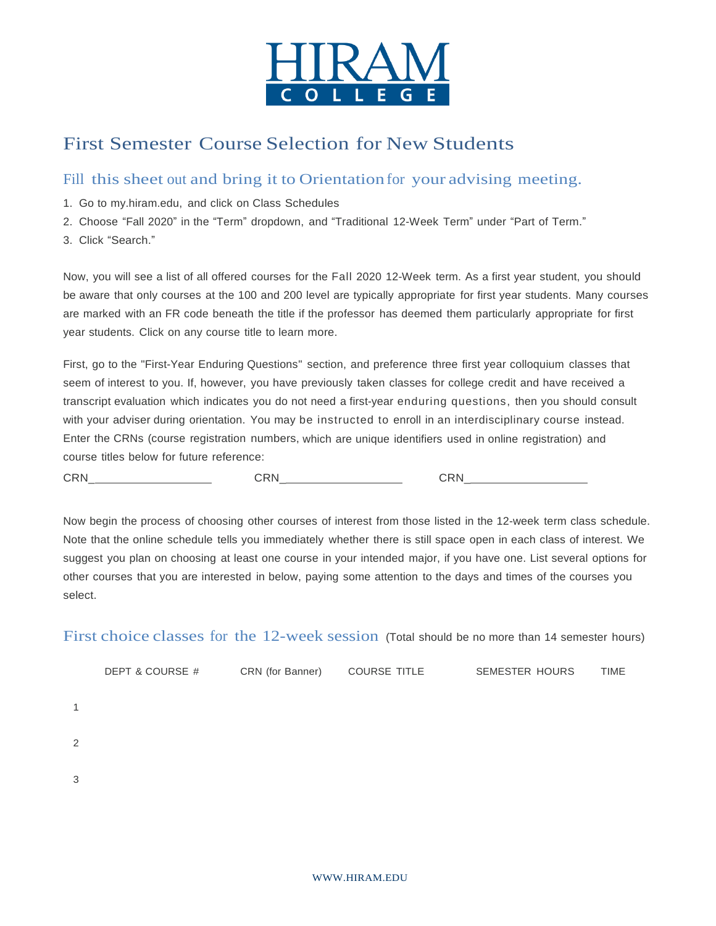

# First Semester Course Selection for New Students

### Fill this sheet out and bring it to Orientation for your advising meeting.

- 1. Go to my.hiram.edu, and click on Class Schedules
- 2. Choose "Fall 2020" in the "Term" dropdown, and "Traditional 12-Week Term" under "Part of Term."
- 3. Click "Search."

Now, you will see a list of all offered courses for the Fall 2020 12-Week term. As a first year student, you should be aware that only courses at the 100 and 200 level are typically appropriate for first year students. Many courses are marked with an FR code beneath the title if the professor has deemed them particularly appropriate for first year students. Click on any course title to learn more.

First, go to the "First-Year Enduring Questions" section, and preference three first year colloquium classes that seem of interest to you. If, however, you have previously taken classes for college credit and have received a transcript evaluation which indicates you do not need a first-year enduring questions, then you should consult with your adviser during orientation. You may be instructed to enroll in an interdisciplinary course instead. Enter the CRNs (course registration numbers, which are unique identifiers used in online registration) and course titles below for future reference:

CRN\_ CRN\_ CRN\_

Now begin the process of choosing other courses of interest from those listed in the 12-week term class schedule. Note that the online schedule tells you immediately whether there is still space open in each class of interest. We suggest you plan on choosing at least one course in your intended major, if you have one. List several options for other courses that you are interested in below, paying some attention to the days and times of the courses you select.

First choice classes for the 12-week session (Total should be no more than 14 semester hours)

|                | DEPT & COURSE # | CRN (for Banner) | <b>COURSE TITLE</b> | <b>SEMESTER HOURS</b> | TIME |
|----------------|-----------------|------------------|---------------------|-----------------------|------|
| 1              |                 |                  |                     |                       |      |
|                |                 |                  |                     |                       |      |
| $\overline{2}$ |                 |                  |                     |                       |      |
| 3              |                 |                  |                     |                       |      |
|                |                 |                  |                     |                       |      |